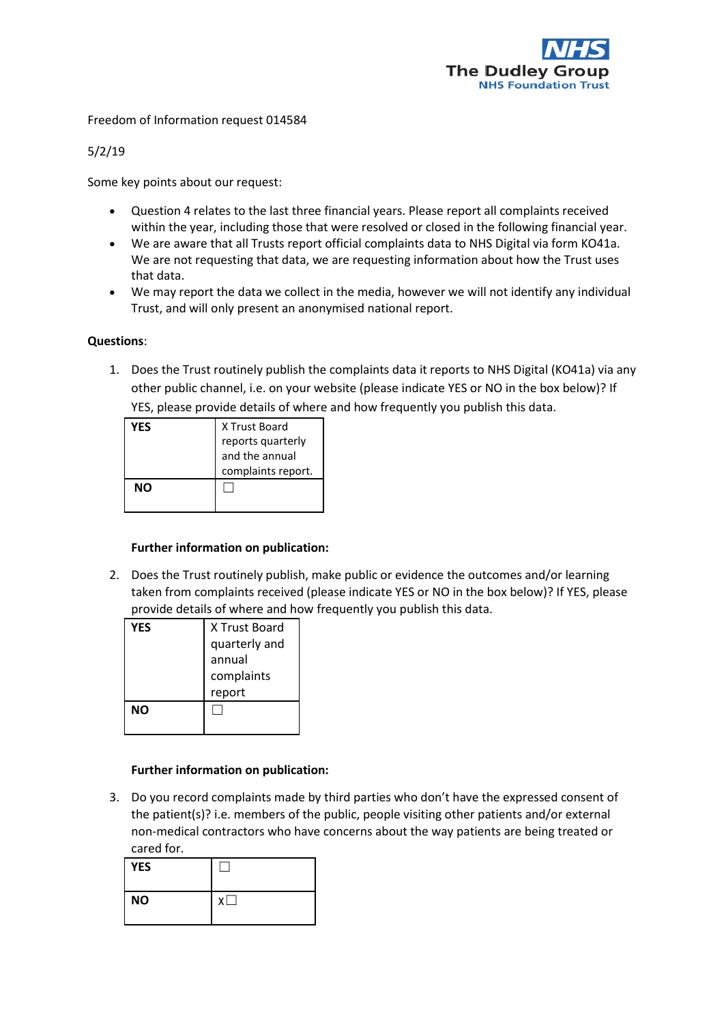

Freedom of Information request 014584

5/2/19

Some key points about our request:

- Question 4 relates to the last three financial years. Please report all complaints received within the year, including those that were resolved or closed in the following financial year.
- We are aware that all Trusts report official complaints data to NHS Digital via form KO41a. We are not requesting that data, we are requesting information about how the Trust uses that data.
- We may report the data we collect in the media, however we will not identify any individual Trust, and will only present an anonymised national report.

## **Questions**:

1. Does the Trust routinely publish the complaints data it reports to NHS Digital (KO41a) via any other public channel, i.e. on your website (please indicate YES or NO in the box below)? If YES, please provide details of where and how frequently you publish this data.

| YES | X Trust Board<br>reports quarterly<br>and the annual<br>complaints report. |
|-----|----------------------------------------------------------------------------|
| NΟ  |                                                                            |

## **Further information on publication:**

2. Does the Trust routinely publish, make public or evidence the outcomes and/or learning taken from complaints received (please indicate YES or NO in the box below)? If YES, please provide details of where and how frequently you publish this data.

| YES | X Trust Board |
|-----|---------------|
|     | quarterly and |
|     | annual        |
|     | complaints    |
|     | report        |
| NΟ  |               |
|     |               |

## **Further information on publication:**

3. Do you record complaints made by third parties who don't have the expressed consent of the patient(s)? i.e. members of the public, people visiting other patients and/or external non-medical contractors who have concerns about the way patients are being treated or cared for.

| <b>YES</b> |   |
|------------|---|
| <b>NO</b>  | γ |